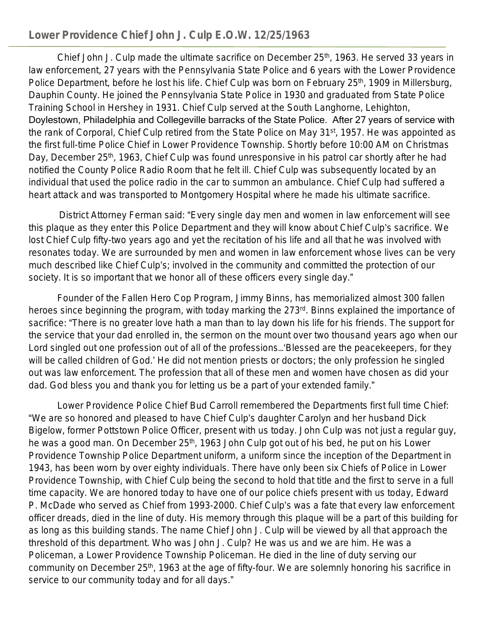## **Lower Providence Chief John J. Culp E.O.W. 12/25/1963**

Chief John J. Culp made the ultimate sacrifice on December 25<sup>th</sup>, 1963. He served 33 years in law enforcement, 27 years with the Pennsylvania State Police and 6 years with the Lower Providence Police Department, before he lost his life. Chief Culp was born on February 25<sup>th</sup>, 1909 in Millersburg, Dauphin County. He joined the Pennsylvania State Police in 1930 and graduated from State Police Training School in Hershey in 1931. Chief Culp served at the South Langhorne, Lehighton, Doylestown, Philadelphia and Collegeville barracks of the State Police. After 27 years of service with the rank of Corporal, Chief Culp retired from the State Police on May 31<sup>st</sup>, 1957. He was appointed as the first full-time Police Chief in Lower Providence Township. Shortly before 10:00 AM on Christmas Day, December 25<sup>th</sup>, 1963, Chief Culp was found unresponsive in his patrol car shortly after he had notified the County Police Radio Room that he felt ill. Chief Culp was subsequently located by an individual that used the police radio in the car to summon an ambulance. Chief Culp had suffered a heart attack and was transported to Montgomery Hospital where he made his ultimate sacrifice.

 District Attorney Ferman said: "Every single day men and women in law enforcement will see this plaque as they enter this Police Department and they will know about Chief Culp's sacrifice. We lost Chief Culp fifty-two years ago and yet the recitation of his life and all that he was involved with resonates today. We are surrounded by men and women in law enforcement whose lives can be very much described like Chief Culp's; involved in the community and committed the protection of our society. It is so important that we honor all of these officers every single day."

Founder of the Fallen Hero Cop Program, Jimmy Binns, has memorialized almost 300 fallen heroes since beginning the program, with today marking the 273<sup>rd</sup>. Binns explained the importance of sacrifice: "There is no greater love hath a man than to lay down his life for his friends. The support for the service that your dad enrolled in, the sermon on the mount over two thousand years ago when our Lord singled out one profession out of all of the professions…'Blessed are the peacekeepers, for they will be called children of God.' He did not mention priests or doctors; the only profession he singled out was law enforcement. The profession that all of these men and women have chosen as did your dad. God bless you and thank you for letting us be a part of your extended family."

Lower Providence Police Chief Bud Carroll remembered the Departments first full time Chief: "We are so honored and pleased to have Chief Culp's daughter Carolyn and her husband Dick Bigelow, former Pottstown Police Officer, present with us today. John Culp was not just a regular guy, he was a good man. On December 25<sup>th</sup>, 1963 John Culp got out of his bed, he put on his Lower Providence Township Police Department uniform, a uniform since the inception of the Department in 1943, has been worn by over eighty individuals. There have only been six Chiefs of Police in Lower Providence Township, with Chief Culp being the second to hold that title and the first to serve in a full time capacity. We are honored today to have one of our police chiefs present with us today, Edward P. McDade who served as Chief from 1993-2000. Chief Culp's was a fate that every law enforcement officer dreads, died in the line of duty. His memory through this plaque will be a part of this building for as long as this building stands. The name Chief John J. Culp will be viewed by all that approach the threshold of this department. Who was John J. Culp? He was us and we are him. He was a Policeman, a Lower Providence Township Policeman. He died in the line of duty serving our community on December 25<sup>th</sup>, 1963 at the age of fifty-four. We are solemnly honoring his sacrifice in service to our community today and for all days."